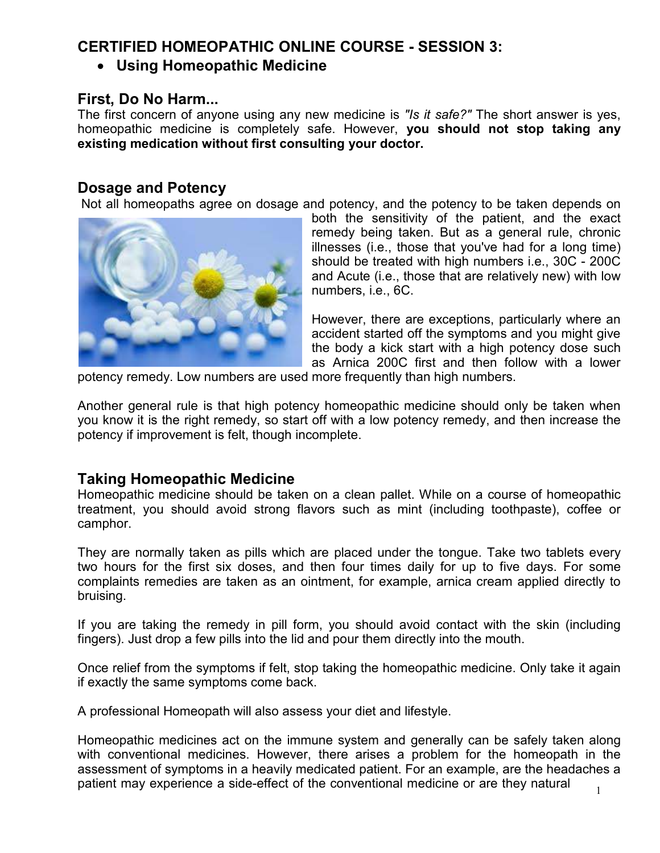# **CERTIFIED HOMEOPATHIC ONLINE COURSE - SESSION 3:**

• **Using Homeopathic Medicine** 

### **First, Do No Harm...**

The first concern of anyone using any new medicine is *"Is it safe?"* The short answer is yes, homeopathic medicine is completely safe. However, **you should not stop taking any existing medication without first consulting your doctor.** 

# **Dosage and Potency**

Not all homeopaths agree on dosage and potency, and the potency to be taken depends on



both the sensitivity of the patient, and the exact remedy being taken. But as a general rule, chronic illnesses (i.e., those that you've had for a long time) should be treated with high numbers i.e., 30C - 200C and Acute (i.e., those that are relatively new) with low numbers, i.e., 6C.

However, there are exceptions, particularly where an accident started off the symptoms and you might give the body a kick start with a high potency dose such as Arnica 200C first and then follow with a lower

potency remedy. Low numbers are used more frequently than high numbers.

Another general rule is that high potency homeopathic medicine should only be taken when you know it is the right remedy, so start off with a low potency remedy, and then increase the potency if improvement is felt, though incomplete.

### **Taking Homeopathic Medicine**

Homeopathic medicine should be taken on a clean pallet. While on a course of homeopathic treatment, you should avoid strong flavors such as mint (including toothpaste), coffee or camphor.

They are normally taken as pills which are placed under the tongue. Take two tablets every two hours for the first six doses, and then four times daily for up to five days. For some complaints remedies are taken as an ointment, for example, arnica cream applied directly to bruising.

If you are taking the remedy in pill form, you should avoid contact with the skin (including fingers). Just drop a few pills into the lid and pour them directly into the mouth.

Once relief from the symptoms if felt, stop taking the homeopathic medicine. Only take it again if exactly the same symptoms come back.

A professional Homeopath will also assess your diet and lifestyle.

Homeopathic medicines act on the immune system and generally can be safely taken along with conventional medicines. However, there arises a problem for the homeopath in the assessment of symptoms in a heavily medicated patient. For an example, are the headaches a patient may experience a side-effect of the conventional medicine or are they natural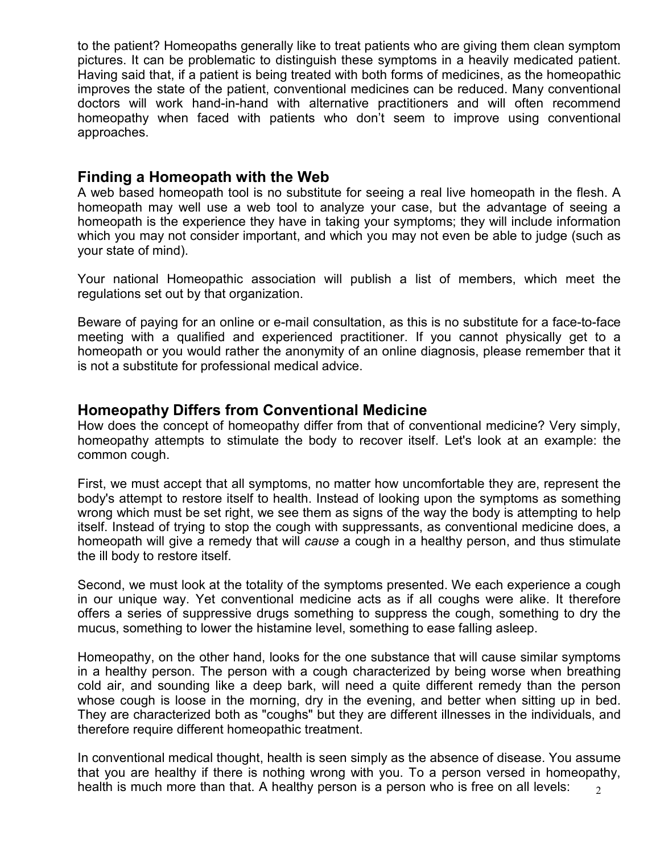to the patient? Homeopaths generally like to treat patients who are giving them clean symptom pictures. It can be problematic to distinguish these symptoms in a heavily medicated patient. Having said that, if a patient is being treated with both forms of medicines, as the homeopathic improves the state of the patient, conventional medicines can be reduced. Many conventional doctors will work hand-in-hand with alternative practitioners and will often recommend homeopathy when faced with patients who don't seem to improve using conventional approaches.

#### **Finding a Homeopath with the Web**

A web based homeopath tool is no substitute for seeing a real live homeopath in the flesh. A homeopath may well use a web tool to analyze your case, but the advantage of seeing a homeopath is the experience they have in taking your symptoms; they will include information which you may not consider important, and which you may not even be able to judge (such as your state of mind).

Your national Homeopathic association will publish a list of members, which meet the regulations set out by that organization.

Beware of paying for an online or e-mail consultation, as this is no substitute for a face-to-face meeting with a qualified and experienced practitioner. If you cannot physically get to a homeopath or you would rather the anonymity of an online diagnosis, please remember that it is not a substitute for professional medical advice.

#### **Homeopathy Differs from Conventional Medicine**

How does the concept of homeopathy differ from that of conventional medicine? Very simply, homeopathy attempts to stimulate the body to recover itself. Let's look at an example: the common cough.

First, we must accept that all symptoms, no matter how uncomfortable they are, represent the body's attempt to restore itself to health. Instead of looking upon the symptoms as something wrong which must be set right, we see them as signs of the way the body is attempting to help itself. Instead of trying to stop the cough with suppressants, as conventional medicine does, a homeopath will give a remedy that will *cause* a cough in a healthy person, and thus stimulate the ill body to restore itself.

Second, we must look at the totality of the symptoms presented. We each experience a cough in our unique way. Yet conventional medicine acts as if all coughs were alike. It therefore offers a series of suppressive drugs something to suppress the cough, something to dry the mucus, something to lower the histamine level, something to ease falling asleep.

Homeopathy, on the other hand, looks for the one substance that will cause similar symptoms in a healthy person. The person with a cough characterized by being worse when breathing cold air, and sounding like a deep bark, will need a quite different remedy than the person whose cough is loose in the morning, dry in the evening, and better when sitting up in bed. They are characterized both as "coughs" but they are different illnesses in the individuals, and therefore require different homeopathic treatment.

 $\mathfrak{D}$ In conventional medical thought, health is seen simply as the absence of disease. You assume that you are healthy if there is nothing wrong with you. To a person versed in homeopathy, health is much more than that. A healthy person is a person who is free on all levels: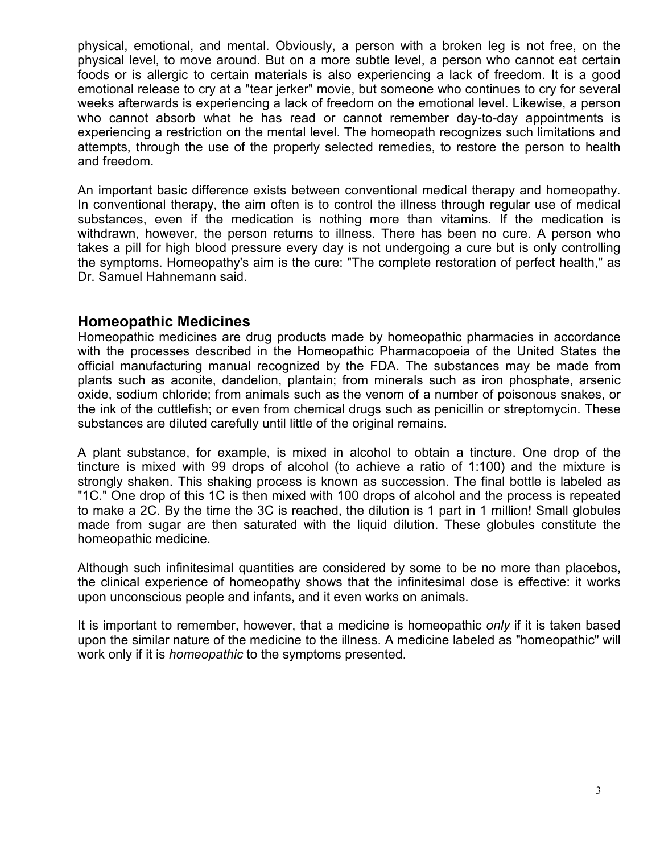physical, emotional, and mental. Obviously, a person with a broken leg is not free, on the physical level, to move around. But on a more subtle level, a person who cannot eat certain foods or is allergic to certain materials is also experiencing a lack of freedom. It is a good emotional release to cry at a "tear jerker" movie, but someone who continues to cry for several weeks afterwards is experiencing a lack of freedom on the emotional level. Likewise, a person who cannot absorb what he has read or cannot remember day-to-day appointments is experiencing a restriction on the mental level. The homeopath recognizes such limitations and attempts, through the use of the properly selected remedies, to restore the person to health and freedom.

An important basic difference exists between conventional medical therapy and homeopathy. In conventional therapy, the aim often is to control the illness through regular use of medical substances, even if the medication is nothing more than vitamins. If the medication is withdrawn, however, the person returns to illness. There has been no cure. A person who takes a pill for high blood pressure every day is not undergoing a cure but is only controlling the symptoms. Homeopathy's aim is the cure: "The complete restoration of perfect health," as Dr. Samuel Hahnemann said.

#### **Homeopathic Medicines**

Homeopathic medicines are drug products made by homeopathic pharmacies in accordance with the processes described in the Homeopathic Pharmacopoeia of the United States the official manufacturing manual recognized by the FDA. The substances may be made from plants such as aconite, dandelion, plantain; from minerals such as iron phosphate, arsenic oxide, sodium chloride; from animals such as the venom of a number of poisonous snakes, or the ink of the cuttlefish; or even from chemical drugs such as penicillin or streptomycin. These substances are diluted carefully until little of the original remains.

A plant substance, for example, is mixed in alcohol to obtain a tincture. One drop of the tincture is mixed with 99 drops of alcohol (to achieve a ratio of 1:100) and the mixture is strongly shaken. This shaking process is known as succession. The final bottle is labeled as "1C." One drop of this 1C is then mixed with 100 drops of alcohol and the process is repeated to make a 2C. By the time the 3C is reached, the dilution is 1 part in 1 million! Small globules made from sugar are then saturated with the liquid dilution. These globules constitute the homeopathic medicine.

Although such infinitesimal quantities are considered by some to be no more than placebos, the clinical experience of homeopathy shows that the infinitesimal dose is effective: it works upon unconscious people and infants, and it even works on animals.

It is important to remember, however, that a medicine is homeopathic *only* if it is taken based upon the similar nature of the medicine to the illness. A medicine labeled as "homeopathic" will work only if it is *homeopathic* to the symptoms presented.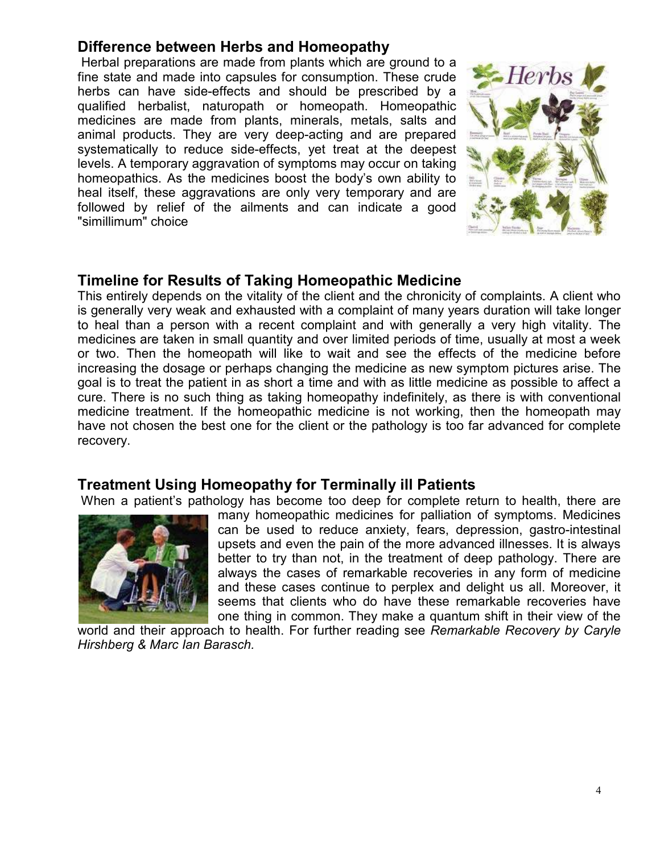# **Difference between Herbs and Homeopathy**

 Herbal preparations are made from plants which are ground to a fine state and made into capsules for consumption. These crude herbs can have side-effects and should be prescribed by a qualified herbalist, naturopath or homeopath. Homeopathic medicines are made from plants, minerals, metals, salts and animal products. They are very deep-acting and are prepared systematically to reduce side-effects, yet treat at the deepest levels. A temporary aggravation of symptoms may occur on taking homeopathics. As the medicines boost the body's own ability to heal itself, these aggravations are only very temporary and are followed by relief of the ailments and can indicate a good "simillimum" choice



# **Timeline for Results of Taking Homeopathic Medicine**

This entirely depends on the vitality of the client and the chronicity of complaints. A client who is generally very weak and exhausted with a complaint of many years duration will take longer to heal than a person with a recent complaint and with generally a very high vitality. The medicines are taken in small quantity and over limited periods of time, usually at most a week or two. Then the homeopath will like to wait and see the effects of the medicine before increasing the dosage or perhaps changing the medicine as new symptom pictures arise. The goal is to treat the patient in as short a time and with as little medicine as possible to affect a cure. There is no such thing as taking homeopathy indefinitely, as there is with conventional medicine treatment. If the homeopathic medicine is not working, then the homeopath may have not chosen the best one for the client or the pathology is too far advanced for complete recovery.

### **Treatment Using Homeopathy for Terminally ill Patients**

When a patient's pathology has become too deep for complete return to health, there are



many homeopathic medicines for palliation of symptoms. Medicines can be used to reduce anxiety, fears, depression, gastro-intestinal upsets and even the pain of the more advanced illnesses. It is always better to try than not, in the treatment of deep pathology. There are always the cases of remarkable recoveries in any form of medicine and these cases continue to perplex and delight us all. Moreover, it seems that clients who do have these remarkable recoveries have one thing in common. They make a quantum shift in their view of the

world and their approach to health. For further reading see *Remarkable Recovery by Caryle Hirshberg & Marc Ian Barasch.*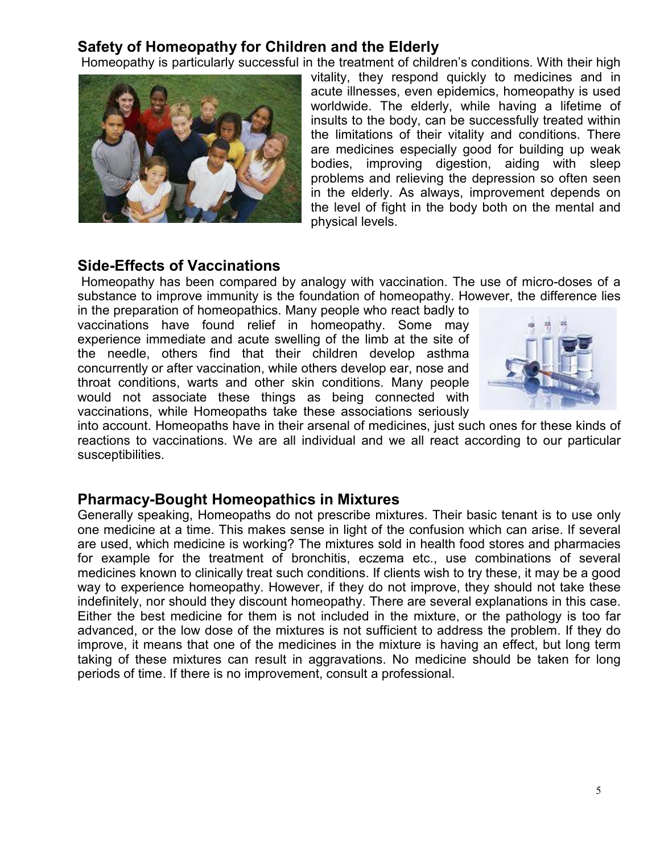### **Safety of Homeopathy for Children and the Elderly**

Homeopathy is particularly successful in the treatment of children's conditions. With their high



vitality, they respond quickly to medicines and in acute illnesses, even epidemics, homeopathy is used worldwide. The elderly, while having a lifetime of insults to the body, can be successfully treated within the limitations of their vitality and conditions. There are medicines especially good for building up weak bodies, improving digestion, aiding with sleep problems and relieving the depression so often seen in the elderly. As always, improvement depends on the level of fight in the body both on the mental and physical levels.

#### **Side-Effects of Vaccinations**

 Homeopathy has been compared by analogy with vaccination. The use of micro-doses of a substance to improve immunity is the foundation of homeopathy. However, the difference lies

in the preparation of homeopathics. Many people who react badly to vaccinations have found relief in homeopathy. Some may experience immediate and acute swelling of the limb at the site of the needle, others find that their children develop asthma concurrently or after vaccination, while others develop ear, nose and throat conditions, warts and other skin conditions. Many people would not associate these things as being connected with vaccinations, while Homeopaths take these associations seriously



into account. Homeopaths have in their arsenal of medicines, just such ones for these kinds of reactions to vaccinations. We are all individual and we all react according to our particular susceptibilities.

#### **Pharmacy-Bought Homeopathics in Mixtures**

Generally speaking, Homeopaths do not prescribe mixtures. Their basic tenant is to use only one medicine at a time. This makes sense in light of the confusion which can arise. If several are used, which medicine is working? The mixtures sold in health food stores and pharmacies for example for the treatment of bronchitis, eczema etc., use combinations of several medicines known to clinically treat such conditions. If clients wish to try these, it may be a good way to experience homeopathy. However, if they do not improve, they should not take these indefinitely, nor should they discount homeopathy. There are several explanations in this case. Either the best medicine for them is not included in the mixture, or the pathology is too far advanced, or the low dose of the mixtures is not sufficient to address the problem. If they do improve, it means that one of the medicines in the mixture is having an effect, but long term taking of these mixtures can result in aggravations. No medicine should be taken for long periods of time. If there is no improvement, consult a professional.